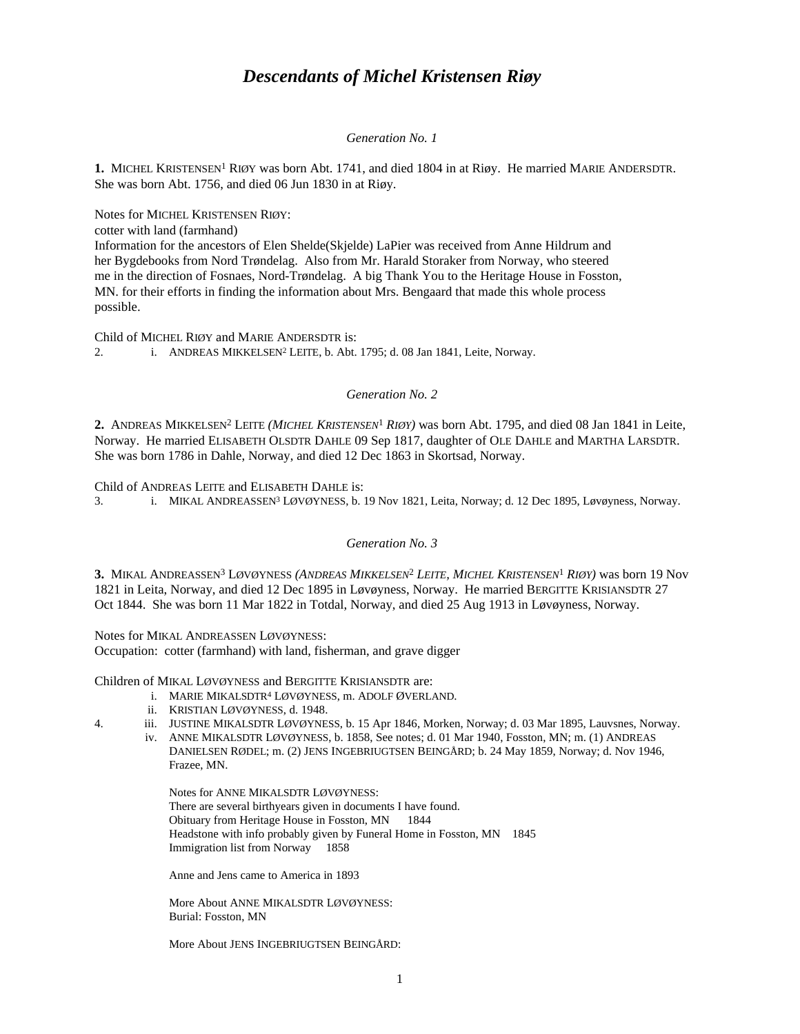# *Descendants of Michel Kristensen Riøy*

### *Generation No. 1*

**1.** MICHEL KRISTENSEN<sup>1</sup> RIØY was born Abt. 1741, and died 1804 in at Riøy. He married MARIE ANDERSDTR. She was born Abt. 1756, and died 06 Jun 1830 in at Riøy.

Notes for MICHEL KRISTENSEN RIØY:

cotter with land (farmhand)

Information for the ancestors of Elen Shelde(Skjelde) LaPier was received from Anne Hildrum and her Bygdebooks from Nord Trøndelag. Also from Mr. Harald Storaker from Norway, who steered me in the direction of Fosnaes, Nord-Trøndelag. A big Thank You to the Heritage House in Fosston, MN. for their efforts in finding the information about Mrs. Bengaard that made this whole process possible.

Child of MICHEL RIØY and MARIE ANDERSDTR is:

2. i. ANDREAS MIKKELSEN<sup>2</sup> LEITE, b. Abt. 1795; d. 08 Jan 1841, Leite, Norway.

# *Generation No. 2*

2. ANDREAS MIKKELSEN<sup>2</sup> LEITE *(MICHEL KRISTENSEN<sup>1</sup> RIØY*) was born Abt. 1795, and died 08 Jan 1841 in Leite, Norway. He married ELISABETH OLSDTR DAHLE 09 Sep 1817, daughter of OLE DAHLE and MARTHA LARSDTR. She was born 1786 in Dahle, Norway, and died 12 Dec 1863 in Skortsad, Norway.

Child of ANDREAS LEITE and ELISABETH DAHLE is:

3. i. MIKAL ANDREASSEN<sup>3</sup> LØVØYNESS, b. 19 Nov 1821, Leita, Norway; d. 12 Dec 1895, Løvøyness, Norway.

### *Generation No. 3*

**3.** MIKAL ANDREASSEN<sup>3</sup> LØVØYNESS *(ANDREAS MIKKELSEN*<sup>2</sup>  *LEITE, MICHEL KRISTENSEN*<sup>1</sup>  *RIØY)* was born 19 Nov 1821 in Leita, Norway, and died 12 Dec 1895 in Løvøyness, Norway. He married BERGITTE KRISIANSDTR 27 Oct 1844. She was born 11 Mar 1822 in Totdal, Norway, and died 25 Aug 1913 in Løvøyness, Norway.

Notes for MIKAL ANDREASSEN LØVØYNESS:

Occupation: cotter (farmhand) with land, fisherman, and grave digger

Children of MIKAL LØVØYNESS and BERGITTE KRISIANSDTR are:

- i. MARIE MIKALSDTR<sup>4</sup> LØVØYNESS, m. ADOLF ØVERLAND.
- ii. KRISTIAN LØVØYNESS, d. 1948.
- 4. iii. JUSTINE MIKALSDTR LØVØYNESS, b. 15 Apr 1846, Morken, Norway; d. 03 Mar 1895, Lauvsnes, Norway.
	- iv. ANNE MIKALSDTR LØVØYNESS, b. 1858, See notes; d. 01 Mar 1940, Fosston, MN; m. (1) ANDREAS DANIELSEN RØDEL; m. (2) JENS INGEBRIUGTSEN BEINGÅRD; b. 24 May 1859, Norway; d. Nov 1946, Frazee, MN.

Notes for ANNE MIKALSDTR LØVØYNESS: There are several birthyears given in documents I have found. Obituary from Heritage House in Fosston, MN 1844 Headstone with info probably given by Funeral Home in Fosston, MN 1845 Immigration list from Norway 1858

Anne and Jens came to America in 1893

More About ANNE MIKALSDTR LØVØYNESS: Burial: Fosston, MN

More About JENS INGEBRIUGTSEN BEINGÅRD: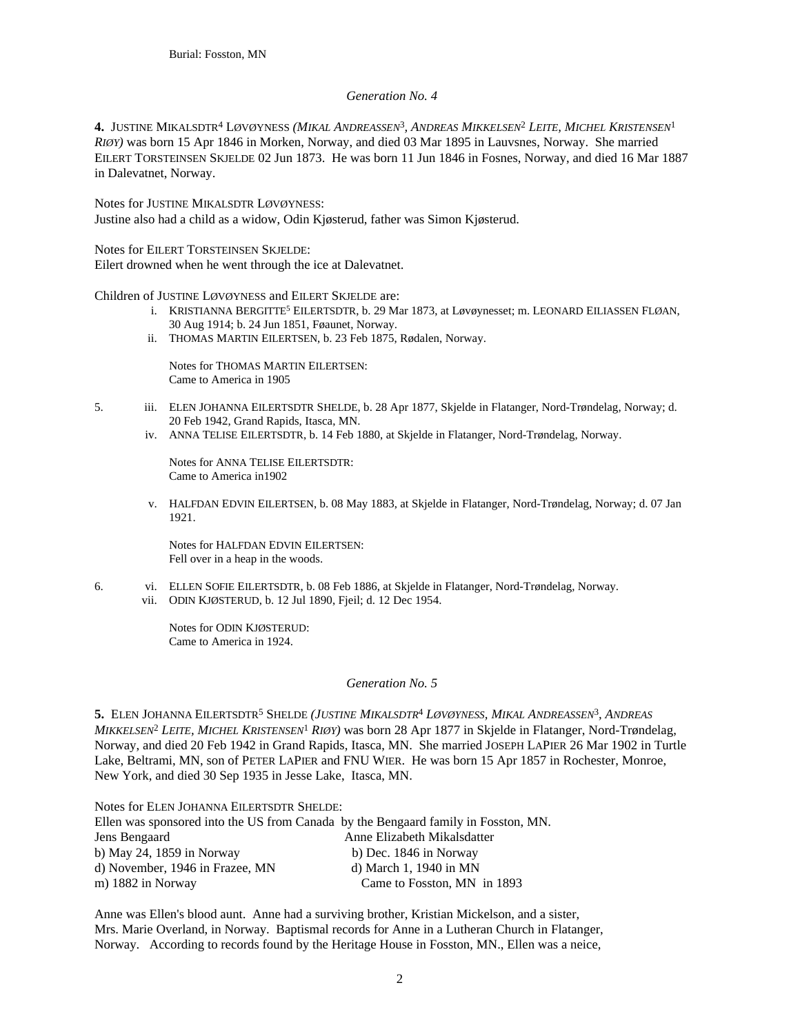# *Generation No. 4*

**4.** JUSTINE MIKALSDTR<sup>4</sup> LØVØYNESS *(MIKAL ANDREASSEN*<sup>3</sup> *, ANDREAS MIKKELSEN*<sup>2</sup>  *LEITE, MICHEL KRISTENSEN*<sup>1</sup> *RIØY)* was born 15 Apr 1846 in Morken, Norway, and died 03 Mar 1895 in Lauvsnes, Norway. She married EILERT TORSTEINSEN SKJELDE 02 Jun 1873. He was born 11 Jun 1846 in Fosnes, Norway, and died 16 Mar 1887 in Dalevatnet, Norway.

Notes for JUSTINE MIKALSDTR LØVØYNESS: Justine also had a child as a widow, Odin Kjøsterud, father was Simon Kjøsterud.

Notes for EILERT TORSTEINSEN SKJELDE: Eilert drowned when he went through the ice at Dalevatnet.

Children of JUSTINE LØVØYNESS and EILERT SKJELDE are:

- i. KRISTIANNA BERGITTE<sup>5</sup> EILERTSDTR, b. 29 Mar 1873, at Løvøynesset; m. LEONARD EILIASSEN FLØAN, 30 Aug 1914; b. 24 Jun 1851, Føaunet, Norway.
- ii. THOMAS MARTIN EILERTSEN, b. 23 Feb 1875, Rødalen, Norway.

Notes for THOMAS MARTIN EILERTSEN: Came to America in 1905

- 5. iii. ELEN JOHANNA EILERTSDTR SHELDE, b. 28 Apr 1877, Skjelde in Flatanger, Nord-Trøndelag, Norway; d. 20 Feb 1942, Grand Rapids, Itasca, MN.
	- iv. ANNA TELISE EILERTSDTR, b. 14 Feb 1880, at Skjelde in Flatanger, Nord-Trøndelag, Norway.

Notes for ANNA TELISE EILERTSDTR: Came to America in1902

v. HALFDAN EDVIN EILERTSEN, b. 08 May 1883, at Skjelde in Flatanger, Nord-Trøndelag, Norway; d. 07 Jan 1921.

Notes for HALFDAN EDVIN EILERTSEN: Fell over in a heap in the woods.

6. vi. ELLEN SOFIE EILERTSDTR, b. 08 Feb 1886, at Skjelde in Flatanger, Nord-Trøndelag, Norway. vii. ODIN KJØSTERUD, b. 12 Jul 1890, Fjeil; d. 12 Dec 1954.

> Notes for ODIN KJØSTERUD: Came to America in 1924.

### *Generation No. 5*

**5.** ELEN JOHANNA EILERTSDTR<sup>5</sup> SHELDE *(JUSTINE MIKALSDTR*<sup>4</sup>  *LØVØYNESS, MIKAL ANDREASSEN*<sup>3</sup> *, ANDREAS MIKKELSEN*<sup>2</sup>  *LEITE, MICHEL KRISTENSEN*<sup>1</sup>  *RIØY)* was born 28 Apr 1877 in Skjelde in Flatanger, Nord-Trøndelag, Norway, and died 20 Feb 1942 in Grand Rapids, Itasca, MN. She married JOSEPH LAPIER 26 Mar 1902 in Turtle Lake, Beltrami, MN, son of PETER LAPIER and FNU WIER. He was born 15 Apr 1857 in Rochester, Monroe, New York, and died 30 Sep 1935 in Jesse Lake, Itasca, MN.

Notes for ELEN JOHANNA EILERTSDTR SHELDE:

| Ellen was sponsored into the US from Canada by the Bengaard family in Fosston, MN. |                             |
|------------------------------------------------------------------------------------|-----------------------------|
| Jens Bengaard                                                                      | Anne Elizabeth Mikalsdatter |
| b) May 24, $1859$ in Norway                                                        | b) Dec. 1846 in Norway      |
| d) November, 1946 in Frazee, MN                                                    | d) March 1, 1940 in MN      |
| m) 1882 in Norway                                                                  | Came to Fosston, MN in 1893 |

Anne was Ellen's blood aunt. Anne had a surviving brother, Kristian Mickelson, and a sister, Mrs. Marie Overland, in Norway. Baptismal records for Anne in a Lutheran Church in Flatanger, Norway. According to records found by the Heritage House in Fosston, MN., Ellen was a neice,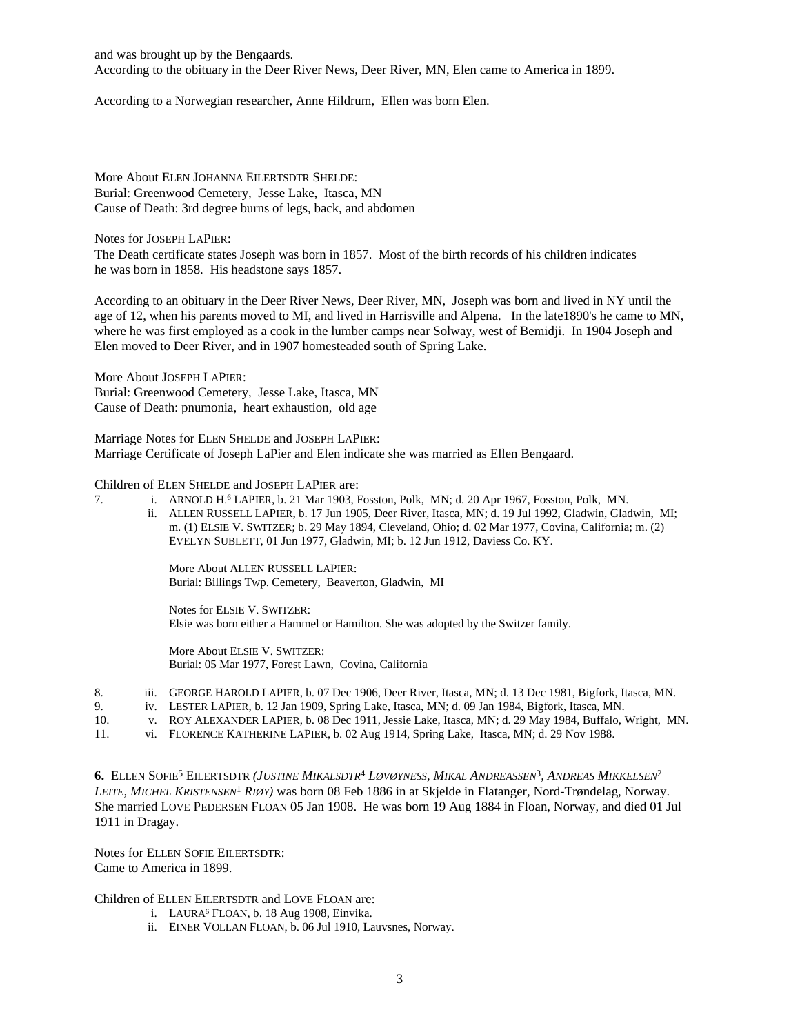and was brought up by the Bengaards. According to the obituary in the Deer River News, Deer River, MN, Elen came to America in 1899.

According to a Norwegian researcher, Anne Hildrum, Ellen was born Elen.

More About ELEN JOHANNA EILERTSDTR SHELDE: Burial: Greenwood Cemetery, Jesse Lake, Itasca, MN Cause of Death: 3rd degree burns of legs, back, and abdomen

Notes for JOSEPH LAPIER:

The Death certificate states Joseph was born in 1857. Most of the birth records of his children indicates he was born in 1858. His headstone says 1857.

According to an obituary in the Deer River News, Deer River, MN, Joseph was born and lived in NY until the age of 12, when his parents moved to MI, and lived in Harrisville and Alpena. In the late1890's he came to MN, where he was first employed as a cook in the lumber camps near Solway, west of Bemidji. In 1904 Joseph and Elen moved to Deer River, and in 1907 homesteaded south of Spring Lake.

More About JOSEPH LAPIER: Burial: Greenwood Cemetery, Jesse Lake, Itasca, MN Cause of Death: pnumonia, heart exhaustion, old age

Marriage Notes for ELEN SHELDE and JOSEPH LAPIER: Marriage Certificate of Joseph LaPier and Elen indicate she was married as Ellen Bengaard.

Children of ELEN SHELDE and JOSEPH LAPIER are:

- 7. i. ARNOLD H. 6 LAPIER, b. 21 Mar 1903, Fosston, Polk, MN; d. 20 Apr 1967, Fosston, Polk, MN.
	- ii. ALLEN RUSSELL LAPIER, b. 17 Jun 1905, Deer River, Itasca, MN; d. 19 Jul 1992, Gladwin, Gladwin, MI; m. (1) ELSIE V. SWITZER; b. 29 May 1894, Cleveland, Ohio; d. 02 Mar 1977, Covina, California; m. (2) EVELYN SUBLETT, 01 Jun 1977, Gladwin, MI; b. 12 Jun 1912, Daviess Co. KY.

More About ALLEN RUSSELL LAPIER: Burial: Billings Twp. Cemetery, Beaverton, Gladwin, MI

Notes for ELSIE V. SWITZER: Elsie was born either a Hammel or Hamilton. She was adopted by the Switzer family.

More About ELSIE V. SWITZER: Burial: 05 Mar 1977, Forest Lawn, Covina, California

- 8. iii. GEORGE HAROLD LAPIER, b. 07 Dec 1906, Deer River, Itasca, MN; d. 13 Dec 1981, Bigfork, Itasca, MN.
- 9. iv. LESTER LAPIER, b. 12 Jan 1909, Spring Lake, Itasca, MN; d. 09 Jan 1984, Bigfork, Itasca, MN.
- 10. v. ROY ALEXANDER LAPIER, b. 08 Dec 1911, Jessie Lake, Itasca, MN; d. 29 May 1984, Buffalo, Wright, MN.
- 11. vi. FLORENCE KATHERINE LAPIER, b. 02 Aug 1914, Spring Lake, Itasca, MN; d. 29 Nov 1988.

**6.** ELLEN SOFIE<sup>5</sup> EILERTSDTR *(JUSTINE MIKALSDTR*<sup>4</sup>  *LØVØYNESS, MIKAL ANDREASSEN*<sup>3</sup> *, ANDREAS MIKKELSEN*<sup>2</sup> *LEITE, MICHEL KRISTENSEN*<sup>1</sup>  *RIØY)* was born 08 Feb 1886 in at Skjelde in Flatanger, Nord-Trøndelag, Norway. She married LOVE PEDERSEN FLOAN 05 Jan 1908. He was born 19 Aug 1884 in Floan, Norway, and died 01 Jul 1911 in Dragay.

Notes for ELLEN SOFIE EILERTSDTR: Came to America in 1899.

Children of ELLEN EILERTSDTR and LOVE FLOAN are:

- i. LAURA<sup>6</sup> FLOAN, b. 18 Aug 1908, Einvika.
- ii. EINER VOLLAN FLOAN, b. 06 Jul 1910, Lauvsnes, Norway.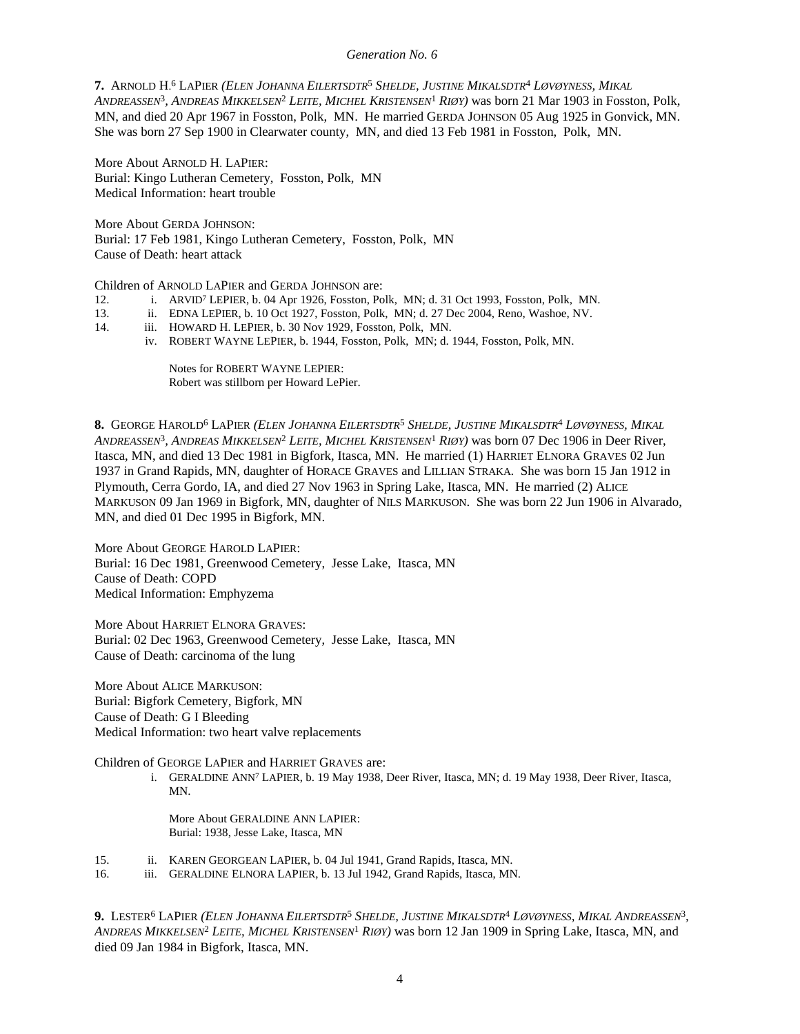#### *Generation No. 6*

**7.** ARNOLD H. 6 LAPIER *(ELEN JOHANNA EILERTSDTR*<sup>5</sup>  *SHELDE, JUSTINE MIKALSDTR*<sup>4</sup>  *LØVØYNESS, MIKAL ANDREASSEN*<sup>3</sup> *, ANDREAS MIKKELSEN*<sup>2</sup>  *LEITE, MICHEL KRISTENSEN*<sup>1</sup>  *RIØY)* was born 21 Mar 1903 in Fosston, Polk, MN, and died 20 Apr 1967 in Fosston, Polk, MN. He married GERDA JOHNSON 05 Aug 1925 in Gonvick, MN. She was born 27 Sep 1900 in Clearwater county, MN, and died 13 Feb 1981 in Fosston, Polk, MN.

More About ARNOLD H. LAPIER: Burial: Kingo Lutheran Cemetery, Fosston, Polk, MN Medical Information: heart trouble

More About GERDA JOHNSON: Burial: 17 Feb 1981, Kingo Lutheran Cemetery, Fosston, Polk, MN Cause of Death: heart attack

Children of ARNOLD LAPIER and GERDA JOHNSON are:

- 12. i. ARVID<sup>7</sup> LEPIER, b. 04 Apr 1926, Fosston, Polk, MN; d. 31 Oct 1993, Fosston, Polk, MN.
- 13. ii. EDNA LEPIER, b. 10 Oct 1927, Fosston, Polk, MN; d. 27 Dec 2004, Reno, Washoe, NV.
- 14. iii. HOWARD H. LEPIER, b. 30 Nov 1929, Fosston, Polk, MN.
	- iv. ROBERT WAYNE LEPIER, b. 1944, Fosston, Polk, MN; d. 1944, Fosston, Polk, MN.

Notes for ROBERT WAYNE LEPIER: Robert was stillborn per Howard LePier.

**8.** GEORGE HAROLD<sup>6</sup> LAPIER *(ELEN JOHANNA EILERTSDTR*<sup>5</sup>  *SHELDE, JUSTINE MIKALSDTR*<sup>4</sup>  *LØVØYNESS, MIKAL ANDREASSEN*<sup>3</sup> *, ANDREAS MIKKELSEN*<sup>2</sup>  *LEITE, MICHEL KRISTENSEN*<sup>1</sup>  *RIØY)* was born 07 Dec 1906 in Deer River, Itasca, MN, and died 13 Dec 1981 in Bigfork, Itasca, MN. He married (1) HARRIET ELNORA GRAVES 02 Jun 1937 in Grand Rapids, MN, daughter of HORACE GRAVES and LILLIAN STRAKA. She was born 15 Jan 1912 in Plymouth, Cerra Gordo, IA, and died 27 Nov 1963 in Spring Lake, Itasca, MN. He married (2) ALICE MARKUSON 09 Jan 1969 in Bigfork, MN, daughter of NILS MARKUSON. She was born 22 Jun 1906 in Alvarado, MN, and died 01 Dec 1995 in Bigfork, MN.

More About GEORGE HAROLD LAPIER: Burial: 16 Dec 1981, Greenwood Cemetery, Jesse Lake, Itasca, MN Cause of Death: COPD Medical Information: Emphyzema

More About HARRIET ELNORA GRAVES: Burial: 02 Dec 1963, Greenwood Cemetery, Jesse Lake, Itasca, MN Cause of Death: carcinoma of the lung

More About ALICE MARKUSON: Burial: Bigfork Cemetery, Bigfork, MN Cause of Death: G I Bleeding Medical Information: two heart valve replacements

Children of GEORGE LAPIER and HARRIET GRAVES are:

i. GERALDINE ANN<sup>7</sup> LAPIER, b. 19 May 1938, Deer River, Itasca, MN; d. 19 May 1938, Deer River, Itasca, MN.

More About GERALDINE ANN LAPIER: Burial: 1938, Jesse Lake, Itasca, MN

- 15. ii. KAREN GEORGEAN LAPIER, b. 04 Jul 1941, Grand Rapids, Itasca, MN.
- 16. iii. GERALDINE ELNORA LAPIER, b. 13 Jul 1942, Grand Rapids, Itasca, MN.

**9.** Lester<sup>6</sup> LaPier *(Elen Johanna Eilertsdtr<sup>5</sup> Shelde, Justine Mikalsdtr<sup>4</sup> Løvøyness, Mikal Andreassen<sup>3</sup>, ANDREAS MIKKELSEN*<sup>2</sup>  *LEITE, MICHEL KRISTENSEN*<sup>1</sup>  *RIØY)* was born 12 Jan 1909 in Spring Lake, Itasca, MN, and died 09 Jan 1984 in Bigfork, Itasca, MN.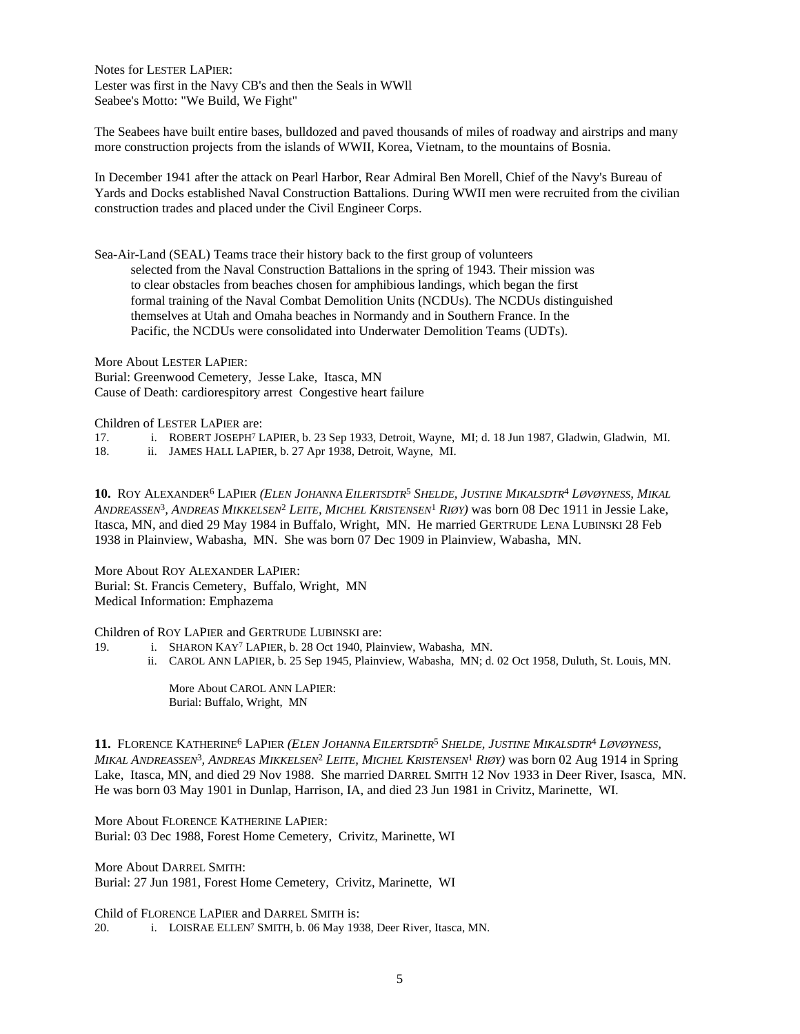Notes for LESTER LAPIER: Lester was first in the Navy CB's and then the Seals in WWll Seabee's Motto: "We Build, We Fight"

The Seabees have built entire bases, bulldozed and paved thousands of miles of roadway and airstrips and many more construction projects from the islands of WWII, Korea, Vietnam, to the mountains of Bosnia.

In December 1941 after the attack on Pearl Harbor, Rear Admiral Ben Morell, Chief of the Navy's Bureau of Yards and Docks established Naval Construction Battalions. During WWII men were recruited from the civilian construction trades and placed under the Civil Engineer Corps.

Sea-Air-Land (SEAL) Teams trace their history back to the first group of volunteers selected from the Naval Construction Battalions in the spring of 1943. Their mission was to clear obstacles from beaches chosen for amphibious landings, which began the first formal training of the Naval Combat Demolition Units (NCDUs). The NCDUs distinguished themselves at Utah and Omaha beaches in Normandy and in Southern France. In the Pacific, the NCDUs were consolidated into Underwater Demolition Teams (UDTs).

More About LESTER LAPIER: Burial: Greenwood Cemetery, Jesse Lake, Itasca, MN Cause of Death: cardiorespitory arrest Congestive heart failure

Children of LESTER LAPIER are:

17. i. ROBERT JOSEPH<sup>7</sup> LAPIER, b. 23 Sep 1933, Detroit, Wayne, MI; d. 18 Jun 1987, Gladwin, Gladwin, MI.

18. ii. JAMES HALL LAPIER, b. 27 Apr 1938, Detroit, Wayne, MI.

**10.** ROY ALEXANDER<sup>6</sup> LAPIER *(ELEN JOHANNA EILERTSDTR*<sup>5</sup>  *SHELDE, JUSTINE MIKALSDTR*<sup>4</sup>  *LØVØYNESS, MIKAL ANDREASSEN*<sup>3</sup> *, ANDREAS MIKKELSEN*<sup>2</sup>  *LEITE, MICHEL KRISTENSEN*<sup>1</sup>  *RIØY)* was born 08 Dec 1911 in Jessie Lake, Itasca, MN, and died 29 May 1984 in Buffalo, Wright, MN. He married GERTRUDE LENA LUBINSKI 28 Feb 1938 in Plainview, Wabasha, MN. She was born 07 Dec 1909 in Plainview, Wabasha, MN.

More About ROY ALEXANDER LAPIER: Burial: St. Francis Cemetery, Buffalo, Wright, MN Medical Information: Emphazema

Children of ROY LAPIER and GERTRUDE LUBINSKI are:

- 19. i. SHARON KAY<sup>7</sup> LAPIER, b. 28 Oct 1940, Plainview, Wabasha, MN.
	- ii. CAROL ANN LAPIER, b. 25 Sep 1945, Plainview, Wabasha, MN; d. 02 Oct 1958, Duluth, St. Louis, MN.

More About CAROL ANN LAPIER: Burial: Buffalo, Wright, MN

**11.** FLORENCE KATHERINE<sup>6</sup> LAPIER *(ELEN JOHANNA EILERTSDTR*<sup>5</sup>  *SHELDE, JUSTINE MIKALSDTR*<sup>4</sup>  *LØVØYNESS, MIKAL ANDREASSEN*<sup>3</sup> *, ANDREAS MIKKELSEN*<sup>2</sup>  *LEITE, MICHEL KRISTENSEN*<sup>1</sup>  *RIØY)* was born 02 Aug 1914 in Spring Lake, Itasca, MN, and died 29 Nov 1988. She married DARREL SMITH 12 Nov 1933 in Deer River, Isasca, MN. He was born 03 May 1901 in Dunlap, Harrison, IA, and died 23 Jun 1981 in Crivitz, Marinette, WI.

More About FLORENCE KATHERINE LAPIER: Burial: 03 Dec 1988, Forest Home Cemetery, Crivitz, Marinette, WI

More About DARREL SMITH: Burial: 27 Jun 1981, Forest Home Cemetery, Crivitz, Marinette, WI

Child of FLORENCE LAPIER and DARREL SMITH is: 20. i. LOISRAE ELLEN<sup>7</sup> SMITH, b. 06 May 1938, Deer River, Itasca, MN.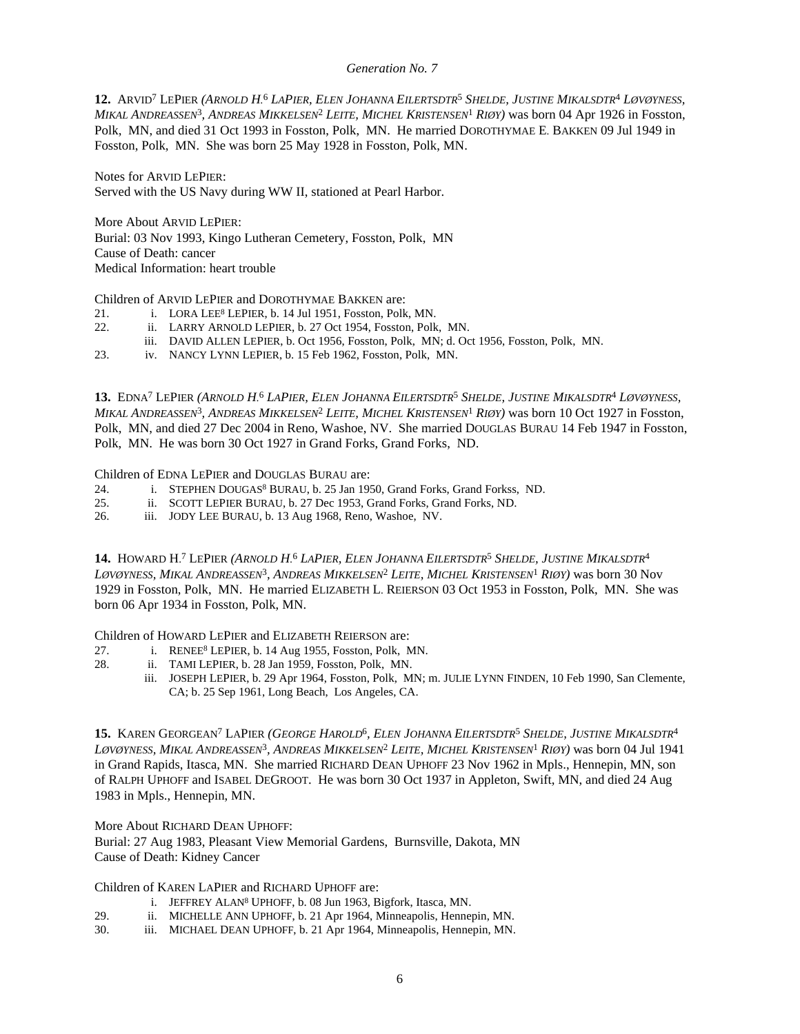## *Generation No. 7*

12. ARVID<sup>7</sup> LEPIER (ARNOLD H.<sup>6</sup> LAPIER, ELEN JOHANNA EILERTSDTR<sup>5</sup> SHELDE, JUSTINE MIKALSDTR<sup>4</sup> LØVØYNESS, *MIKAL ANDREASSEN*<sup>3</sup> *, ANDREAS MIKKELSEN*<sup>2</sup>  *LEITE, MICHEL KRISTENSEN*<sup>1</sup>  *RIØY)* was born 04 Apr 1926 in Fosston, Polk, MN, and died 31 Oct 1993 in Fosston, Polk, MN. He married DOROTHYMAE E. BAKKEN 09 Jul 1949 in Fosston, Polk, MN. She was born 25 May 1928 in Fosston, Polk, MN.

Notes for ARVID LEPIER: Served with the US Navy during WW II, stationed at Pearl Harbor.

More About ARVID LEPIER: Burial: 03 Nov 1993, Kingo Lutheran Cemetery, Fosston, Polk, MN Cause of Death: cancer Medical Information: heart trouble

Children of ARVID LEPIER and DOROTHYMAE BAKKEN are:

- 21. i. LORA LEE<sup>8</sup> LEPIER, b. 14 Jul 1951, Fosston, Polk, MN.
- 22. ii. LARRY ARNOLD LEPIER, b. 27 Oct 1954, Fosston, Polk, MN.
- iii. DAVID ALLEN LEPIER, b. Oct 1956, Fosston, Polk, MN; d. Oct 1956, Fosston, Polk, MN.
- 23. iv. NANCY LYNN LEPIER, b. 15 Feb 1962, Fosston, Polk, MN.

13. EDNA<sup>7</sup> LEPIER (ARNOLD H.<sup>6</sup> LAPIER, ELEN JOHANNA EILERTSDTR<sup>5</sup> SHELDE, JUSTINE MIKALSDTR<sup>4</sup> LØVØYNESS, *MIKAL ANDREASSEN*<sup>3</sup> *, ANDREAS MIKKELSEN*<sup>2</sup>  *LEITE, MICHEL KRISTENSEN*<sup>1</sup>  *RIØY)* was born 10 Oct 1927 in Fosston, Polk, MN, and died 27 Dec 2004 in Reno, Washoe, NV. She married DOUGLAS BURAU 14 Feb 1947 in Fosston, Polk, MN. He was born 30 Oct 1927 in Grand Forks, Grand Forks, ND.

Children of EDNA LEPIER and DOUGLAS BURAU are:

- 24. i. STEPHEN DOUGAS<sup>8</sup> BURAU, b. 25 Jan 1950, Grand Forks, Grand Forkss, ND.
- 25. ii. SCOTT LEPIER BURAU, b. 27 Dec 1953, Grand Forks, Grand Forks, ND.
- 26. iii. JODY LEE BURAU, b. 13 Aug 1968, Reno, Washoe, NV.

**14. HOWARD H.<sup>7</sup> LEPIER (ARNOLD H.<sup>6</sup> LAPIER, ELEN JOHANNA EILERTSDTR<sup>5</sup> SHELDE, JUSTINE MIKALSDTR<sup>4</sup>** Løvøyness, Mikal Andreassen<sup>3</sup>, Andreas Mikkelsen<sup>2</sup> Leite, Michel Kristensen<sup>1</sup> Riøy) was born 30 Nov 1929 in Fosston, Polk, MN. He married ELIZABETH L. REIERSON 03 Oct 1953 in Fosston, Polk, MN. She was born 06 Apr 1934 in Fosston, Polk, MN.

Children of HOWARD LEPIER and ELIZABETH REIERSON are:

- 27. i. RENEE<sup>8</sup> LEPIER, b. 14 Aug 1955, Fosston, Polk, MN.
- 28. ii. TAMI LEPIER, b. 28 Jan 1959, Fosston, Polk, MN.
	- iii. JOSEPH LEPIER, b. 29 Apr 1964, Fosston, Polk, MN; m. JULIE LYNN FINDEN, 10 Feb 1990, San Clemente, CA; b. 25 Sep 1961, Long Beach, Los Angeles, CA.

**15.** KAREN GEORGEAN<sup>7</sup> LAPIER *(GEORGE HAROLD*<sup>6</sup> *, ELEN JOHANNA EILERTSDTR*<sup>5</sup>  *SHELDE, JUSTINE MIKALSDTR*<sup>4</sup> Løvøyness, Mikal Andreassen<sup>3</sup>, Andreas Mikkelsen<sup>2</sup> Leite, Michel Kristensen<sup>1</sup> Riøy) was born 04 Jul 1941 in Grand Rapids, Itasca, MN. She married RICHARD DEAN UPHOFF 23 Nov 1962 in Mpls., Hennepin, MN, son of RALPH UPHOFF and ISABEL DEGROOT. He was born 30 Oct 1937 in Appleton, Swift, MN, and died 24 Aug 1983 in Mpls., Hennepin, MN.

More About RICHARD DEAN UPHOFF:

Burial: 27 Aug 1983, Pleasant View Memorial Gardens, Burnsville, Dakota, MN Cause of Death: Kidney Cancer

Children of KAREN LAPIER and RICHARD UPHOFF are:

- i. JEFFREY ALAN<sup>8</sup> UPHOFF, b. 08 Jun 1963, Bigfork, Itasca, MN.
- 29. ii. MICHELLE ANN UPHOFF, b. 21 Apr 1964, Minneapolis, Hennepin, MN.
- 30. iii. MICHAEL DEAN UPHOFF, b. 21 Apr 1964, Minneapolis, Hennepin, MN.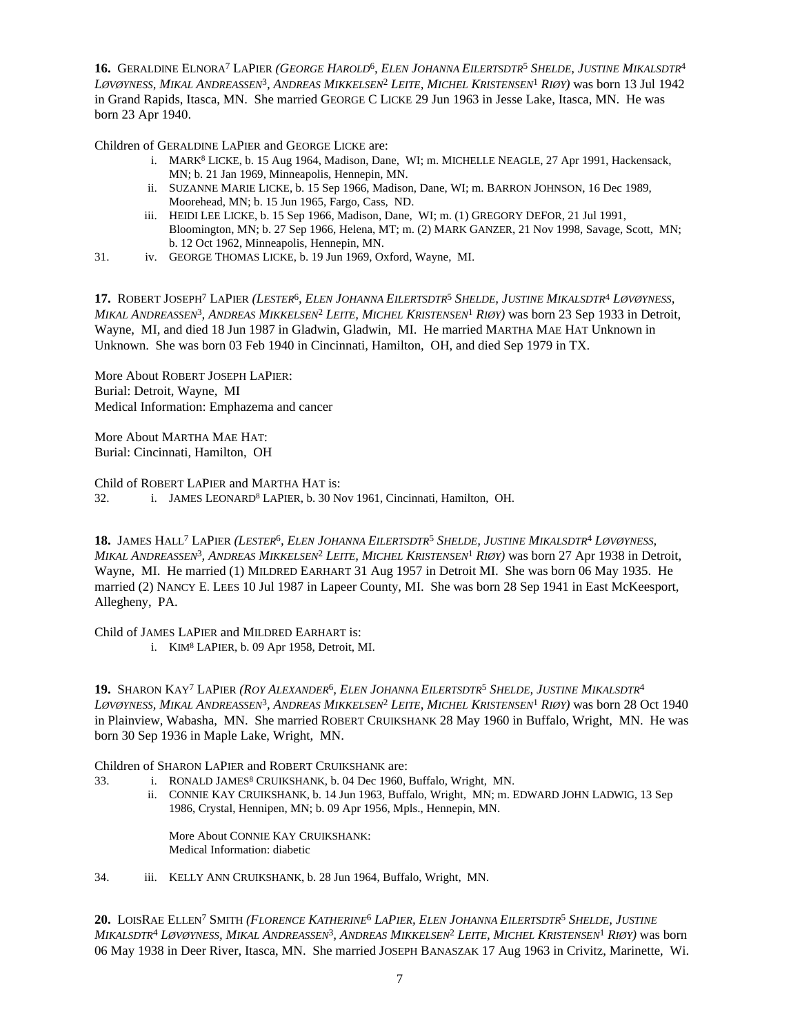**16.** GERALDINE ELNORA<sup>7</sup> LAPIER *(GEORGE HAROLD*<sup>6</sup> *, ELEN JOHANNA EILERTSDTR*<sup>5</sup>  *SHELDE, JUSTINE MIKALSDTR*<sup>4</sup> Løvøyness, Mikal Andreassen<sup>3</sup>, Andreas Mikkelsen<sup>2</sup> Leite, Michel Kristensen<sup>1</sup> Riøy) was born 13 Jul 1942 in Grand Rapids, Itasca, MN. She married GEORGE C LICKE 29 Jun 1963 in Jesse Lake, Itasca, MN. He was born 23 Apr 1940.

Children of GERALDINE LAPIER and GEORGE LICKE are:

- i. MARK<sup>8</sup> LICKE, b. 15 Aug 1964, Madison, Dane, WI; m. MICHELLE NEAGLE, 27 Apr 1991, Hackensack, MN; b. 21 Jan 1969, Minneapolis, Hennepin, MN.
- ii. SUZANNE MARIE LICKE, b. 15 Sep 1966, Madison, Dane, WI; m. BARRON JOHNSON, 16 Dec 1989, Moorehead, MN; b. 15 Jun 1965, Fargo, Cass, ND.
- iii. HEIDI LEE LICKE, b. 15 Sep 1966, Madison, Dane, WI; m. (1) GREGORY DEFOR, 21 Jul 1991, Bloomington, MN; b. 27 Sep 1966, Helena, MT; m. (2) MARK GANZER, 21 Nov 1998, Savage, Scott, MN; b. 12 Oct 1962, Minneapolis, Hennepin, MN.
- 31. iv. GEORGE THOMAS LICKE, b. 19 Jun 1969, Oxford, Wayne, MI.

17. ROBERT JOSEPH<sup>7</sup> LAPIER (LESTER<sup>6</sup>, ELEN JOHANNA EILERTSDTR<sup>5</sup> SHELDE, JUSTINE MIKALSDTR<sup>4</sup> LØVØYNESS, *MIKAL ANDREASSEN*<sup>3</sup> *, ANDREAS MIKKELSEN*<sup>2</sup>  *LEITE, MICHEL KRISTENSEN*<sup>1</sup>  *RIØY)* was born 23 Sep 1933 in Detroit, Wayne, MI, and died 18 Jun 1987 in Gladwin, Gladwin, MI. He married MARTHA MAE HAT Unknown in Unknown. She was born 03 Feb 1940 in Cincinnati, Hamilton, OH, and died Sep 1979 in TX.

More About ROBERT JOSEPH LAPIER: Burial: Detroit, Wayne, MI Medical Information: Emphazema and cancer

More About MARTHA MAE HAT: Burial: Cincinnati, Hamilton, OH

Child of ROBERT LAPIER and MARTHA HAT is: 32. i. JAMES LEONARD<sup>8</sup> LAPIER, b. 30 Nov 1961, Cincinnati, Hamilton, OH.

**18.** JAMES HALL<sup>7</sup> LAPIER (LESTER<sup>6</sup>, ELEN JOHANNA EILERTSDTR<sup>5</sup> SHELDE, JUSTINE MIKALSDTR<sup>4</sup> LØVØYNESS, *MIKAL ANDREASSEN*<sup>3</sup> *, ANDREAS MIKKELSEN*<sup>2</sup>  *LEITE, MICHEL KRISTENSEN*<sup>1</sup>  *RIØY)* was born 27 Apr 1938 in Detroit, Wayne, MI. He married (1) MILDRED EARHART 31 Aug 1957 in Detroit MI. She was born 06 May 1935. He married (2) NANCY E. LEES 10 Jul 1987 in Lapeer County, MI. She was born 28 Sep 1941 in East McKeesport, Allegheny, PA.

Child of JAMES LAPIER and MILDRED EARHART is:

i. KIM<sup>8</sup> LAPIER, b. 09 Apr 1958, Detroit, MI.

**19.** SHARON KAY<sup>7</sup> LAPIER *(ROY ALEXANDER*<sup>6</sup> *, ELEN JOHANNA EILERTSDTR*<sup>5</sup>  *SHELDE, JUSTINE MIKALSDTR*<sup>4</sup> Løvøyness, Mikal Andreassen<sup>3</sup>, Andreas Mikkelsen<sup>2</sup> Leite, Michel Kristensen<sup>1</sup> Riøy) was born 28 Oct 1940 in Plainview, Wabasha, MN. She married ROBERT CRUIKSHANK 28 May 1960 in Buffalo, Wright, MN. He was born 30 Sep 1936 in Maple Lake, Wright, MN.

Children of SHARON LAPIER and ROBERT CRUIKSHANK are:

- 33. i. RONALD JAMES<sup>8</sup> CRUIKSHANK, b. 04 Dec 1960, Buffalo, Wright, MN.
	- ii. CONNIE KAY CRUIKSHANK, b. 14 Jun 1963, Buffalo, Wright, MN; m. EDWARD JOHN LADWIG, 13 Sep 1986, Crystal, Hennipen, MN; b. 09 Apr 1956, Mpls., Hennepin, MN.

More About CONNIE KAY CRUIKSHANK: Medical Information: diabetic

34. iii. KELLY ANN CRUIKSHANK, b. 28 Jun 1964, Buffalo, Wright, MN.

**20.** LOISRAE ELLEN<sup>7</sup> SMITH (*FLORENCE KATHERINE<sup>6</sup> LAPIER, ELEN JOHANNA EILERTSDTR<sup>5</sup> SHELDE, JUSTINE* Mikalsdtr<sup>4</sup> Løvøyness, Mikal Andreassen<sup>3</sup>, Andreas Mikkelsen<sup>2</sup> Leite, Michel Kristensen<sup>1</sup> Riøy) was born 06 May 1938 in Deer River, Itasca, MN. She married JOSEPH BANASZAK 17 Aug 1963 in Crivitz, Marinette, Wi.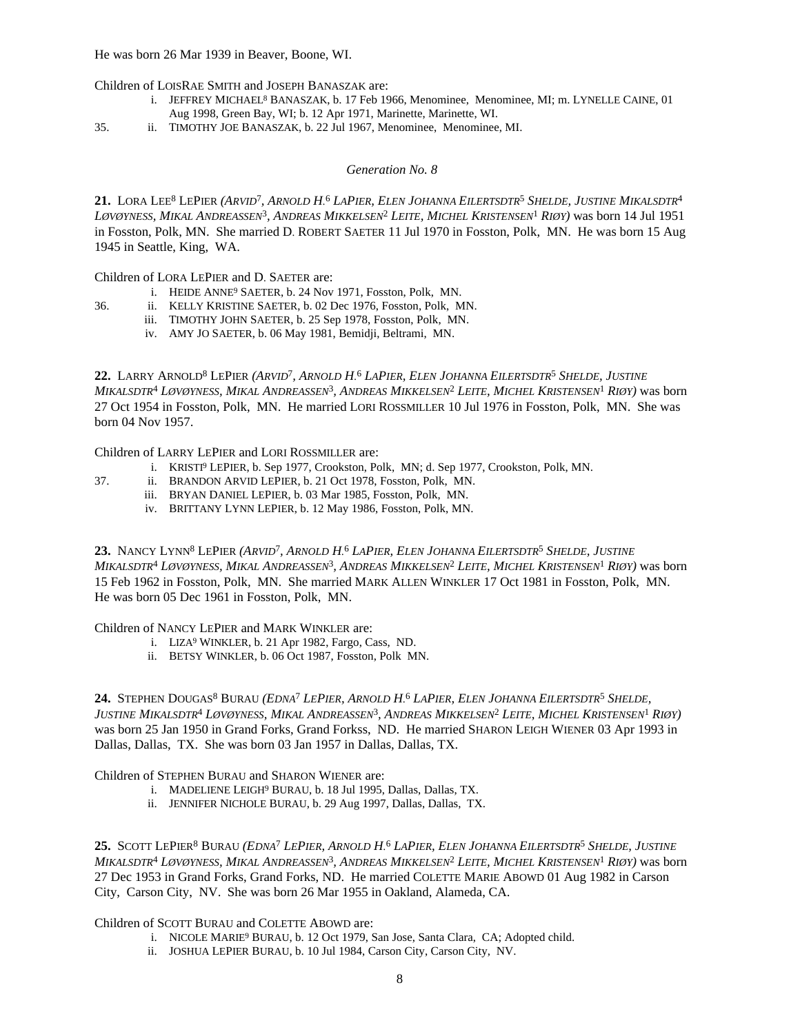He was born 26 Mar 1939 in Beaver, Boone, WI.

Children of LOISRAE SMITH and JOSEPH BANASZAK are:

- i. JEFFREY MICHAEL<sup>8</sup> BANASZAK, b. 17 Feb 1966, Menominee, Menominee, MI; m. LYNELLE CAINE, 01 Aug 1998, Green Bay, WI; b. 12 Apr 1971, Marinette, Marinette, WI.
- 35. ii. TIMOTHY JOE BANASZAK, b. 22 Jul 1967, Menominee, Menominee, MI.

## *Generation No. 8*

21. LORA LEE<sup>8</sup> LEPIER (ARVID<sup>7</sup>, ARNOLD H.<sup>6</sup> LAPIER, ELEN JOHANNA EILERTSDTR<sup>5</sup> SHELDE, JUSTINE MIKALSDTR<sup>4</sup> Løvøyness, Mikal Andreassen<sup>3</sup>, Andreas Mikkelsen<sup>2</sup> Leite, Michel Kristensen<sup>1</sup> Riøy) was born 14 Jul 1951 in Fosston, Polk, MN. She married D. ROBERT SAETER 11 Jul 1970 in Fosston, Polk, MN. He was born 15 Aug 1945 in Seattle, King, WA.

Children of LORA LEPIER and D. SAETER are:

- i. HEIDE ANNE<sup>9</sup> SAETER, b. 24 Nov 1971, Fosston, Polk, MN.
- 36. ii. KELLY KRISTINE SAETER, b. 02 Dec 1976, Fosston, Polk, MN.
	- iii. TIMOTHY JOHN SAETER, b. 25 Sep 1978, Fosston, Polk, MN.
	- iv. AMY JO SAETER, b. 06 May 1981, Bemidji, Beltrami, MN.

22. LARRY ARNOLD<sup>8</sup> LEPIER (ARVID<sup>7</sup>, ARNOLD H.<sup>6</sup> LAPIER, ELEN JOHANNA EILERTSDTR<sup>5</sup> SHELDE, JUSTINE Mikalsdtr<sup>4</sup> Løvøyness, Mikal Andreassen<sup>3</sup>, Andreas Mikkelsen<sup>2</sup> Leite, Michel Kristensen<sup>1</sup> Riøy) was born 27 Oct 1954 in Fosston, Polk, MN. He married LORI ROSSMILLER 10 Jul 1976 in Fosston, Polk, MN. She was born 04 Nov 1957.

Children of LARRY LEPIER and LORI ROSSMILLER are:

- i. KRISTI<sup>9</sup> LEPIER, b. Sep 1977, Crookston, Polk, MN; d. Sep 1977, Crookston, Polk, MN.
- 37. ii. BRANDON ARVID LEPIER, b. 21 Oct 1978, Fosston, Polk, MN.
	- iii. BRYAN DANIEL LEPIER, b. 03 Mar 1985, Fosston, Polk, MN.
	- iv. BRITTANY LYNN LEPIER, b. 12 May 1986, Fosston, Polk, MN.

23. NANCY LYNN<sup>8</sup> LEPIER (ARVID<sup>7</sup>, ARNOLD H.<sup>6</sup> LAPIER, ELEN JOHANNA EILERTSDTR<sup>5</sup> SHELDE, JUSTINE Mikalsdtr<sup>4</sup> Løvøyness, Mikal Andreassen<sup>3</sup>, Andreas Mikkelsen<sup>2</sup> Leite, Michel Kristensen<sup>1</sup> Riøy) was born 15 Feb 1962 in Fosston, Polk, MN. She married MARK ALLEN WINKLER 17 Oct 1981 in Fosston, Polk, MN. He was born 05 Dec 1961 in Fosston, Polk, MN.

Children of NANCY LEPIER and MARK WINKLER are:

- i. LIZA<sup>9</sup> WINKLER, b. 21 Apr 1982, Fargo, Cass, ND.
- ii. BETSY WINKLER, b. 06 Oct 1987, Fosston, Polk MN.

24. STEPHEN DOUGAS<sup>8</sup> BURAU (*EDNA<sup>7</sup> LEPIER, ARNOLD H.<sup>6</sup> LAPIER, ELEN JOHANNA EILERTSDTR<sup>5</sup> SHELDE,* Justine Mikalsdtr<sup>4</sup> Løvøyness, Mikal Andreassen<sup>3</sup>, Andreas Mikkelsen<sup>2</sup> Leite, Michel Kristensen<sup>1</sup> Riøy) was born 25 Jan 1950 in Grand Forks, Grand Forkss, ND. He married SHARON LEIGH WIENER 03 Apr 1993 in Dallas, Dallas, TX. She was born 03 Jan 1957 in Dallas, Dallas, TX.

Children of STEPHEN BURAU and SHARON WIENER are:

- i. MADELIENE LEIGH<sup>9</sup> BURAU, b. 18 Jul 1995, Dallas, Dallas, TX.
- ii. JENNIFER NICHOLE BURAU, b. 29 Aug 1997, Dallas, Dallas, TX.

**25.** Scott LePier<sup>8</sup> Burau *(Edna<sup>t</sup> LePier, Arnold H.<sup>6</sup> LaPier, Elen Johanna Eilertsdtr<sup>5</sup> Shelde, Justine* Mikalsdtr<sup>4</sup> Løvøyness, Mikal Andreassen<sup>3</sup>, Andreas Mikkelsen<sup>2</sup> Leite, Michel Kristensen<sup>1</sup> Riøy) was born 27 Dec 1953 in Grand Forks, Grand Forks, ND. He married COLETTE MARIE ABOWD 01 Aug 1982 in Carson City, Carson City, NV. She was born 26 Mar 1955 in Oakland, Alameda, CA.

Children of SCOTT BURAU and COLETTE ABOWD are:

- i. NICOLE MARIE<sup>9</sup> BURAU, b. 12 Oct 1979, San Jose, Santa Clara, CA; Adopted child.
- ii. JOSHUA LEPIER BURAU, b. 10 Jul 1984, Carson City, Carson City, NV.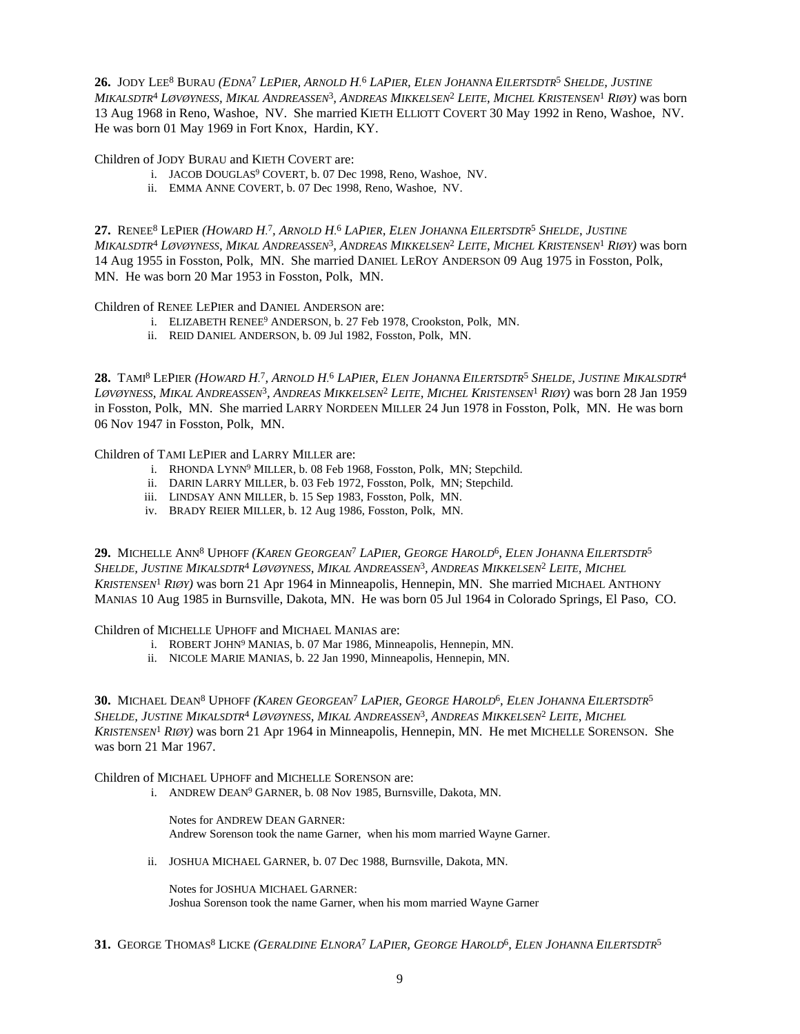**26.** Jody Lee<sup>8</sup> Burau *(Edna<sup>7</sup> LePier, Arnold H.<sup>6</sup> LaPier, Elen Johanna Eilertsdtr<sup>5</sup> Shelde, Justine* Mikalsdtr<sup>4</sup> Løvøyness, Mikal Andreassen<sup>3</sup>, Andreas Mikkelsen<sup>2</sup> Leite, Michel Kristensen<sup>1</sup> Riøy) was born 13 Aug 1968 in Reno, Washoe, NV. She married KIETH ELLIOTT COVERT 30 May 1992 in Reno, Washoe, NV. He was born 01 May 1969 in Fort Knox, Hardin, KY.

Children of JODY BURAU and KIETH COVERT are:

- i. JACOB DOUGLAS<sup>9</sup> COVERT, b. 07 Dec 1998, Reno, Washoe, NV.
- ii. EMMA ANNE COVERT, b. 07 Dec 1998, Reno, Washoe, NV.

**27.** Renee<sup>8</sup> LePier (*Howard H.<sup>7</sup>, Arnold H.<sup>6</sup> LaPier, Elen Johanna Eilertsdtr<sup>5</sup> Shelde, Justine* Mikalsdtr<sup>4</sup> Løvøyness, Mikal Andreassen<sup>3</sup>, Andreas Mikkelsen<sup>2</sup> Leite, Michel Kristensen<sup>1</sup> Riøy) was born 14 Aug 1955 in Fosston, Polk, MN. She married DANIEL LEROY ANDERSON 09 Aug 1975 in Fosston, Polk, MN. He was born 20 Mar 1953 in Fosston, Polk, MN.

Children of RENEE LEPIER and DANIEL ANDERSON are:

- i. ELIZABETH RENEE<sup>9</sup> ANDERSON, b. 27 Feb 1978, Crookston, Polk, MN.
- ii. REID DANIEL ANDERSON, b. 09 Jul 1982, Fosston, Polk, MN.

**28.** TAMI<sup>8</sup> LEPIER (HOWARD H.<sup>7</sup>, ARNOLD H.<sup>6</sup> LAPIER, ELEN JOHANNA EILERTSDTR<sup>5</sup> SHELDE, JUSTINE MIKALSDTR<sup>4</sup> Løvøyness, Mikal Andreassen<sup>3</sup>, Andreas Mikkelsen<sup>2</sup> Leite, Michel Kristensen<sup>1</sup> Riøy) was born 28 Jan 1959 in Fosston, Polk, MN. She married LARRY NORDEEN MILLER 24 Jun 1978 in Fosston, Polk, MN. He was born 06 Nov 1947 in Fosston, Polk, MN.

Children of TAMI LEPIER and LARRY MILLER are:

- i. RHONDA LYNN<sup>9</sup> MILLER, b. 08 Feb 1968, Fosston, Polk, MN; Stepchild.
- ii. DARIN LARRY MILLER, b. 03 Feb 1972, Fosston, Polk, MN; Stepchild.
- iii. LINDSAY ANN MILLER, b. 15 Sep 1983, Fosston, Polk, MN.
- iv. BRADY REIER MILLER, b. 12 Aug 1986, Fosston, Polk, MN.

29. MICHELLE ANN<sup>8</sup> UPHOFF (*Karen Georgean<sup>t</sup> LaPier, George Harold<sup>6</sup>, Elen Johanna Eilertsdtr<sup>5</sup>* Shelde, Justine Mikalsdtr<sup>4</sup> Løvøyness, Mikal Andreassen<sup>3</sup>, Andreas Mikkelsen<sup>2</sup> Leite, Michel *KRISTENSEN*<sup>1</sup>  *RIØY)* was born 21 Apr 1964 in Minneapolis, Hennepin, MN. She married MICHAEL ANTHONY MANIAS 10 Aug 1985 in Burnsville, Dakota, MN. He was born 05 Jul 1964 in Colorado Springs, El Paso, CO.

Children of MICHELLE UPHOFF and MICHAEL MANIAS are:

- i. ROBERT JOHN<sup>9</sup> MANIAS, b. 07 Mar 1986, Minneapolis, Hennepin, MN.
- ii. NICOLE MARIE MANIAS, b. 22 Jan 1990, Minneapolis, Hennepin, MN.

**30.** Michael Dean<sup>s</sup> Uphoff (*Karen Georgean<sup>t</sup> LaPier, George Harold<sup>6</sup>, Elen Johanna Eilertsdtr<sup>5</sup>* Shelde, Justine Mikalsdtr<sup>4</sup> Løvøyness, Mikal Andreassen<sup>3</sup>, Andreas Mikkelsen<sup>2</sup> Leite, Michel *KRISTENSEN*<sup>1</sup>  *RIØY)* was born 21 Apr 1964 in Minneapolis, Hennepin, MN. He met MICHELLE SORENSON. She was born 21 Mar 1967.

Children of MICHAEL UPHOFF and MICHELLE SORENSON are:

i. ANDREW DEAN<sup>9</sup> GARNER, b. 08 Nov 1985, Burnsville, Dakota, MN.

Notes for ANDREW DEAN GARNER: Andrew Sorenson took the name Garner, when his mom married Wayne Garner.

ii. JOSHUA MICHAEL GARNER, b. 07 Dec 1988, Burnsville, Dakota, MN.

Notes for JOSHUA MICHAEL GARNER: Joshua Sorenson took the name Garner, when his mom married Wayne Garner

31. GEORGE THOMAS<sup>8</sup> LICKE (*GERALDINE ELNORA<sup>7</sup> LAPIER, GEORGE HAROLD<sup>6</sup>, ELEN JOHANNA EILERTSDTR<sup>5</sup>*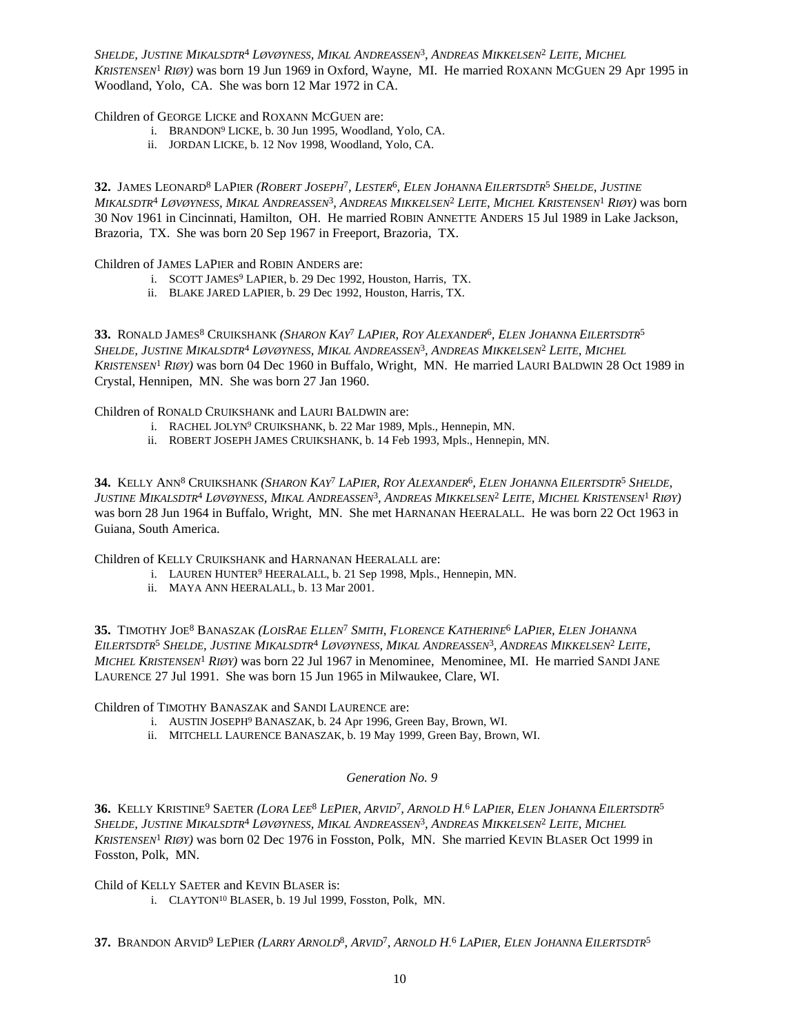Shelde, Justine Mikalsdtr<sup>4</sup> Løvøyness, Mikal Andreassen<sup>3</sup>, Andreas Mikkelsen<sup>2</sup> Leite, Michel *KRISTENSEN*<sup>1</sup>  *RIØY)* was born 19 Jun 1969 in Oxford, Wayne, MI. He married ROXANN MCGUEN 29 Apr 1995 in Woodland, Yolo, CA. She was born 12 Mar 1972 in CA.

Children of GEORGE LICKE and ROXANN MCGUEN are:

- i. BRANDON<sup>9</sup> LICKE, b. 30 Jun 1995, Woodland, Yolo, CA.
- ii. JORDAN LICKE, b. 12 Nov 1998, Woodland, Yolo, CA.

**32.** JAMES LEONARD<sup>8</sup> LAPIER *(ROBERT JOSEPH*<sup>7</sup> *, LESTER*<sup>6</sup> *, ELEN JOHANNA EILERTSDTR*<sup>5</sup>  *SHELDE, JUSTINE* Mikalsdtr<sup>4</sup> Løvøyness, Mikal Andreassen<sup>3</sup>, Andreas Mikkelsen<sup>2</sup> Leite, Michel Kristensen<sup>1</sup> Riøy) was born 30 Nov 1961 in Cincinnati, Hamilton, OH. He married ROBIN ANNETTE ANDERS 15 Jul 1989 in Lake Jackson, Brazoria, TX. She was born 20 Sep 1967 in Freeport, Brazoria, TX.

Children of JAMES LAPIER and ROBIN ANDERS are:

- i. SCOTT JAMES<sup>9</sup> LAPIER, b. 29 Dec 1992, Houston, Harris, TX.
- ii. BLAKE JARED LAPIER, b. 29 Dec 1992, Houston, Harris, TX.

33. RONALD JAMES<sup>8</sup> Cruikshank *(Sharon Kay<sup>t</sup> LaPier, Roy Alexander<sup>6</sup>, Elen Johanna Eilertsdtr<sup>5</sup>* Shelde, Justine Mikalsdtr<sup>4</sup> Løvøyness, Mikal Andreassen<sup>3</sup>, Andreas Mikkelsen<sup>2</sup> Leite, Michel *KRISTENSEN*<sup>1</sup>  *RIØY)* was born 04 Dec 1960 in Buffalo, Wright, MN. He married LAURI BALDWIN 28 Oct 1989 in Crystal, Hennipen, MN. She was born 27 Jan 1960.

Children of RONALD CRUIKSHANK and LAURI BALDWIN are:

- i. RACHEL JOLYN<sup>9</sup> CRUIKSHANK, b. 22 Mar 1989, Mpls., Hennepin, MN.
- ii. ROBERT JOSEPH JAMES CRUIKSHANK, b. 14 Feb 1993, Mpls., Hennepin, MN.

34. KELLY ANN<sup>8</sup> Cruikshank (*Sharon Kay<sup>7</sup> LaPier, Roy Alexander<sup>6</sup>, Elen Johanna Eilertsdtr<sup>5</sup> Shelde,* Justine Mikalsdtr<sup>4</sup> Løvøyness, Mikal Andreassen<sup>3</sup>, Andreas Mikkelsen<sup>2</sup> Leite, Michel Kristensen<sup>1</sup> Riøy) was born 28 Jun 1964 in Buffalo, Wright, MN. She met HARNANAN HEERALALL. He was born 22 Oct 1963 in Guiana, South America.

Children of KELLY CRUIKSHANK and HARNANAN HEERALALL are:

- i. LAUREN HUNTER<sup>9</sup> HEERALALL, b. 21 Sep 1998, Mpls., Hennepin, MN.
- ii. MAYA ANN HEERALALL, b. 13 Mar 2001.

**35.** TIMOTHY JOE<sup>8</sup> BANASZAK (*LOISRAE ELLEN<sup>7</sup> SMITH, FLORENCE KATHERINE<sup>6</sup> LAPIER, ELEN JOHANNA* Eilertsdtr<sup>5</sup> Shelde, Justine Mikalsdtr<sup>4</sup> Løvøyness, Mikal Andreassen<sup>3</sup>, Andreas Mikkelsen<sup>2</sup> Leite, *MICHEL KRISTENSEN*<sup>1</sup>  *RIØY)* was born 22 Jul 1967 in Menominee, Menominee, MI. He married SANDI JANE LAURENCE 27 Jul 1991. She was born 15 Jun 1965 in Milwaukee, Clare, WI.

Children of TIMOTHY BANASZAK and SANDI LAURENCE are:

- i. AUSTIN JOSEPH<sup>9</sup> BANASZAK, b. 24 Apr 1996, Green Bay, Brown, WI.
- ii. MITCHELL LAURENCE BANASZAK, b. 19 May 1999, Green Bay, Brown, WI.

### *Generation No. 9*

**36.** KELLY KRISTINE<sup>9</sup> SAETER (*LORA LEE<sup>8</sup> LEPIER, ARVID<sup>7</sup>, ARNOLD H.<sup>6</sup> LAPIER, ELEN JOHANNA EILERTSDTR<sup>5</sup>* Shelde, Justine Mikalsdtr<sup>4</sup> Løvøyness, Mikal Andreassen<sup>3</sup>, Andreas Mikkelsen<sup>2</sup> Leite, Michel *KRISTENSEN*<sup>1</sup>  *RIØY)* was born 02 Dec 1976 in Fosston, Polk, MN. She married KEVIN BLASER Oct 1999 in Fosston, Polk, MN.

Child of KELLY SAETER and KEVIN BLASER is: i. CLAYTON<sup>10</sup> BLASER, b. 19 Jul 1999, Fosston, Polk, MN.

37. Brandon Arvid<sup>9</sup> LePier (*Larry Arnold<sup>s</sup>, Arvid<sup>7</sup>, Arnold H.<sup>6</sup> LaPier, Elen Johanna Eilertsdtr<sup>5</sup>*